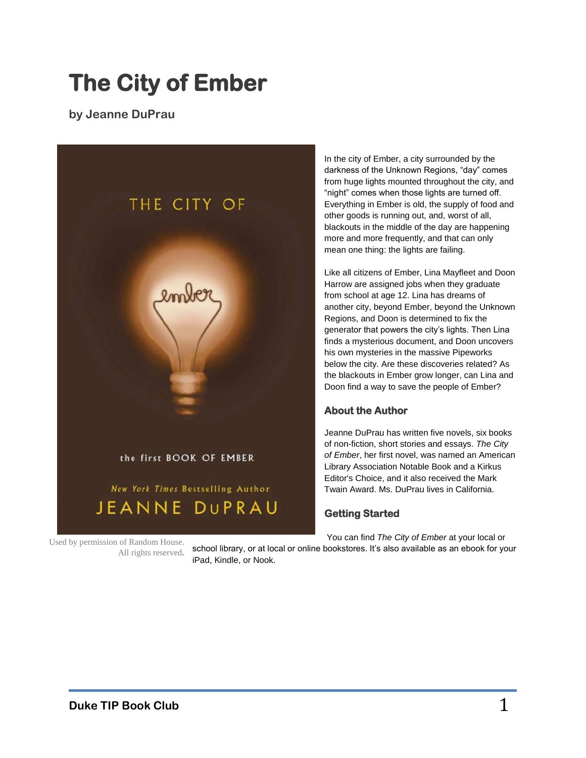# **The City of Ember**

**by Jeanne DuPrau**



Used by permission of Random House. All rights reserved**.** In the city of Ember, a city surrounded by the darkness of the Unknown Regions, "day" comes from huge lights mounted throughout the city, and "night" comes when those lights are turned off. Everything in Ember is old, the supply of food and other goods is running out, and, worst of all, blackouts in the middle of the day are happening more and more frequently, and that can only mean one thing: the lights are failing.

Like all citizens of Ember, Lina Mayfleet and Doon Harrow are assigned jobs when they graduate from school at age 12. Lina has dreams of another city, beyond Ember, beyond the Unknown Regions, and Doon is determined to fix the generator that powers the city's lights. Then Lina finds a mysterious document, and Doon uncovers his own mysteries in the massive Pipeworks below the city. Are these discoveries related? As the blackouts in Ember grow longer, can Lina and Doon find a way to save the people of Ember?

## **About the Author**

Jeanne DuPrau has written five novels, six books of non-fiction, short stories and essays. *The City of Ember*, her first novel, was named an American Library Association Notable Book and a Kirkus Editor's Choice, and it also received the Mark Twain Award. Ms. DuPrau lives in California.

### **Getting Started**

You can find *The City of Ember* at your local or

school library, or at local or online bookstores. It's also available as an ebook for your iPad, Kindle, or Nook.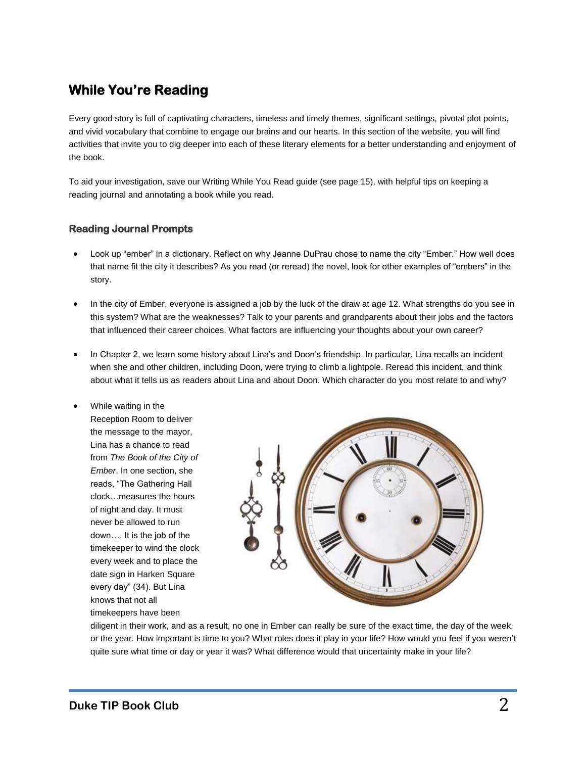## **While You're Reading**

Every good story is full of captivating characters, timeless and timely themes, significant settings, pivotal plot points, and vivid vocabulary that combine to engage our brains and our hearts. In this section of the website, you will find activities that invite you to dig deeper into each of these literary elements for a better understanding and enjoyment of the book.

To aid your investigation, save our Writing While You Read guide (see page 15), with helpful tips on keeping a reading journal and annotating a book while you read.

#### **Reading Journal Prompts**

- Look up "ember" in a dictionary. Reflect on why Jeanne DuPrau chose to name the city "Ember." How well does that name fit the city it describes? As you read (or reread) the novel, look for other examples of "embers" in the story.
- In the city of Ember, everyone is assigned a job by the luck of the draw at age 12. What strengths do you see in this system? What are the weaknesses? Talk to your parents and grandparents about their jobs and the factors that influenced their career choices. What factors are influencing your thoughts about your own career?
- In Chapter 2, we learn some history about Lina's and Doon's friendship. In particular, Lina recalls an incident when she and other children, including Doon, were trying to climb a lightpole. Reread this incident, and think about what it tells us as readers about Lina and about Doon. Which character do you most relate to and why?
	- While waiting in the Reception Room to deliver the message to the mayor, Lina has a chance to read from *The Book of the City of Ember*. In one section, she reads, "The Gathering Hall clock…measures the hours of night and day. It must never be allowed to run down…. It is the job of the timekeeper to wind the clock every week and to place the date sign in Harken Square every day" (34). But Lina knows that not all timekeepers have been



diligent in their work, and as a result, no one in Ember can really be sure of the exact time, the day of the week, or the year. How important is time to you? What roles does it play in your life? How would you feel if you weren't quite sure what time or day or year it was? What difference would that uncertainty make in your life?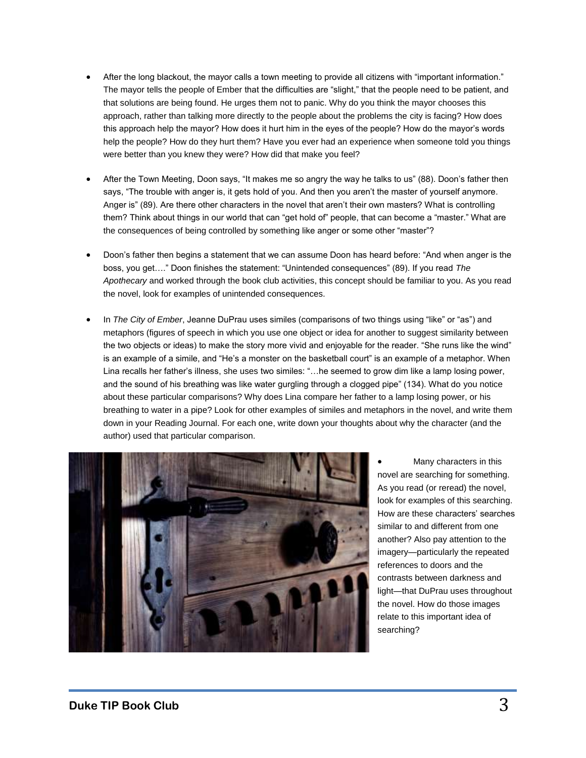- After the long blackout, the mayor calls a town meeting to provide all citizens with "important information." The mayor tells the people of Ember that the difficulties are "slight," that the people need to be patient, and that solutions are being found. He urges them not to panic. Why do you think the mayor chooses this approach, rather than talking more directly to the people about the problems the city is facing? How does this approach help the mayor? How does it hurt him in the eyes of the people? How do the mayor's words help the people? How do they hurt them? Have you ever had an experience when someone told you things were better than you knew they were? How did that make you feel?
- After the Town Meeting, Doon says, "It makes me so angry the way he talks to us" (88). Doon's father then says, "The trouble with anger is, it gets hold of you. And then you aren't the master of yourself anymore. Anger is" (89). Are there other characters in the novel that aren't their own masters? What is controlling them? Think about things in our world that can "get hold of" people, that can become a "master." What are the consequences of being controlled by something like anger or some other "master"?
- Doon's father then begins a statement that we can assume Doon has heard before: "And when anger is the boss, you get…." Doon finishes the statement: "Unintended consequences" (89). If you read *The Apothecary* and worked through the book club activities, this concept should be familiar to you. As you read the novel, look for examples of unintended consequences.
- In *The City of Ember*, Jeanne DuPrau uses similes (comparisons of two things using "like" or "as") and metaphors (figures of speech in which you use one object or idea for another to suggest similarity between the two objects or ideas) to make the story more vivid and enjoyable for the reader. "She runs like the wind" is an example of a simile, and "He's a monster on the basketball court" is an example of a metaphor. When Lina recalls her father's illness, she uses two similes: "…he seemed to grow dim like a lamp losing power, and the sound of his breathing was like water gurgling through a clogged pipe" (134). What do you notice about these particular comparisons? Why does Lina compare her father to a lamp losing power, or his breathing to water in a pipe? Look for other examples of similes and metaphors in the novel, and write them down in your Reading Journal. For each one, write down your thoughts about why the character (and the author) used that particular comparison.



 Many characters in this novel are searching for something. As you read (or reread) the novel, look for examples of this searching. How are these characters' searches similar to and different from one another? Also pay attention to the imagery—particularly the repeated references to doors and the contrasts between darkness and light—that DuPrau uses throughout the novel. How do those images relate to this important idea of searching?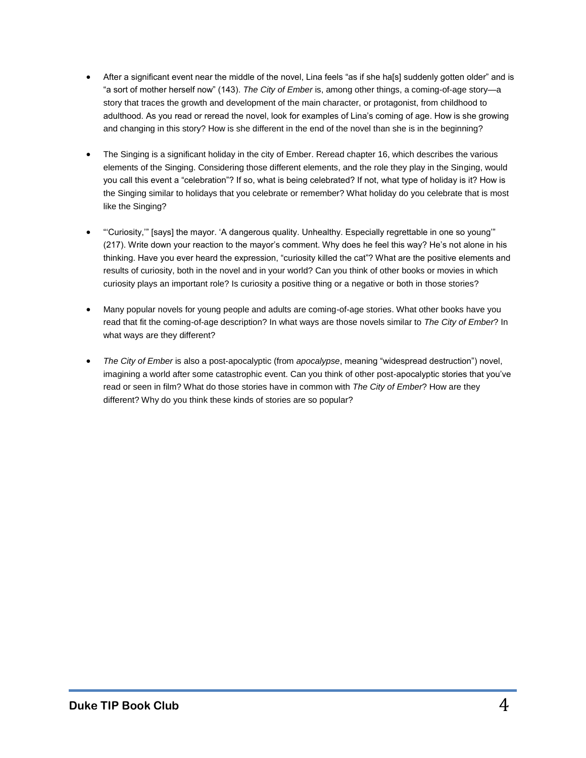- After a significant event near the middle of the novel, Lina feels "as if she ha[s] suddenly gotten older" and is "a sort of mother herself now" (143). *The City of Ember* is, among other things, a coming-of-age story—a story that traces the growth and development of the main character, or protagonist, from childhood to adulthood. As you read or reread the novel, look for examples of Lina's coming of age. How is she growing and changing in this story? How is she different in the end of the novel than she is in the beginning?
- The Singing is a significant holiday in the city of Ember. Reread chapter 16, which describes the various elements of the Singing. Considering those different elements, and the role they play in the Singing, would you call this event a "celebration"? If so, what is being celebrated? If not, what type of holiday is it? How is the Singing similar to holidays that you celebrate or remember? What holiday do you celebrate that is most like the Singing?
- "'Curiosity,'" [says] the mayor. 'A dangerous quality. Unhealthy. Especially regrettable in one so young'" (217). Write down your reaction to the mayor's comment. Why does he feel this way? He's not alone in his thinking. Have you ever heard the expression, "curiosity killed the cat"? What are the positive elements and results of curiosity, both in the novel and in your world? Can you think of other books or movies in which curiosity plays an important role? Is curiosity a positive thing or a negative or both in those stories?
- Many popular novels for young people and adults are coming-of-age stories. What other books have you read that fit the coming-of-age description? In what ways are those novels similar to *The City of Ember*? In what ways are they different?
- *The City of Ember* is also a post-apocalyptic (from *apocalypse*, meaning "widespread destruction") novel, imagining a world after some catastrophic event. Can you think of other post-apocalyptic stories that you've read or seen in film? What do those stories have in common with *The City of Ember*? How are they different? Why do you think these kinds of stories are so popular?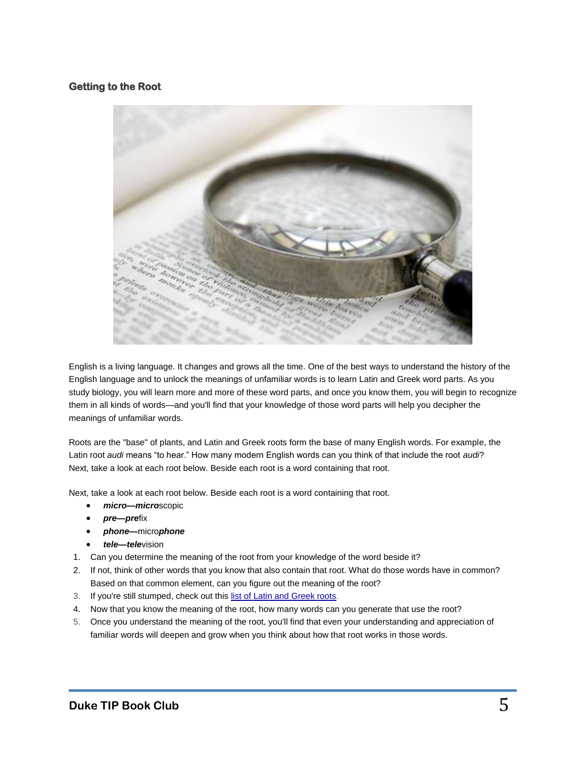### **Getting to the Root**



English is a living language. It changes and grows all the time. One of the best ways to understand the history of the English language and to unlock the meanings of unfamiliar words is to learn Latin and Greek word parts. As you study biology, you will learn more and more of these word parts, and once you know them, you will begin to recognize them in all kinds of words—and you'll find that your knowledge of those word parts will help you decipher the meanings of unfamiliar words.

Roots are the "base" of plants, and Latin and Greek roots form the base of many English words. For example, the Latin root *audi* means "to hear." How many modern English words can you think of that include the root *audi*? Next, take a look at each root below. Beside each root is a word containing that root.

Next, take a look at each root below. Beside each root is a word containing that root.

- *micro—micro*scopic
- *pre—pre*fix
- *phone—*micro*phone*
- *tele—tele*vision
- 1. Can you determine the meaning of the root from your knowledge of the word beside it?
- 2. If not, think of other words that you know that also contain that root. What do those words have in common? Based on that common element, can you figure out the meaning of the root?
- 3. If you're still stumped, check out this [list of Latin and Greek roots.](http://en.wikipedia.org/wiki/List_of_Greek_and_Latin_roots_in_English)
- 4. Now that you know the meaning of the root, how many words can you generate that use the root?
- 5. Once you understand the meaning of the root, you'll find that even your understanding and appreciation of familiar words will deepen and grow when you think about how that root works in those words.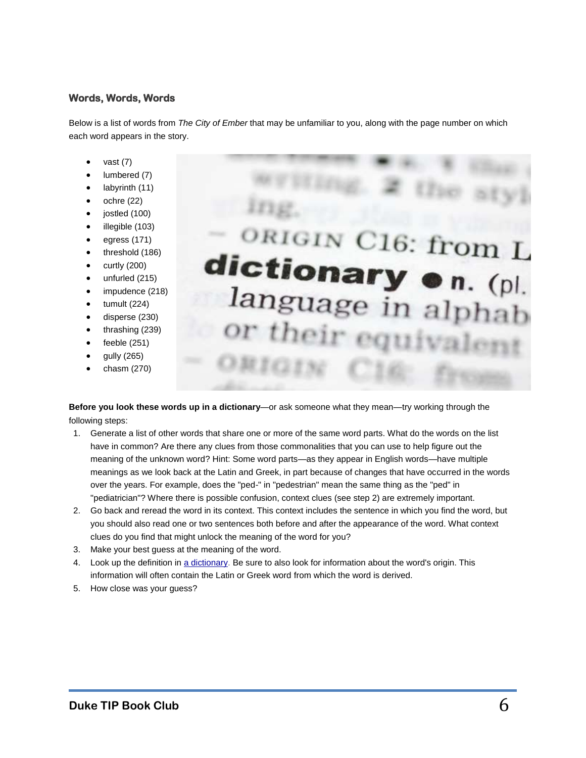#### **Words, Words, Words**

Below is a list of words from *The City of Ember* that may be unfamiliar to you, along with the page number on which each word appears in the story.

- vast (7)
- lumbered (7)
- labyrinth (11)
- ochre (22)
- jostled (100)
- illegible (103)
- egress (171)
- threshold (186)
- curtly (200)
- unfurled (215)
- impudence (218)
- tumult (224)
- disperse (230)
- thrashing (239)
- feeble (251)
- gully (265)
- chasm (270)

ORIGIN C16: from L dictionary . n. (pl. language in alphab or their

**Before you look these words up in a dictionary**—or ask someone what they mean—try working through the following steps:

- 1. Generate a list of other words that share one or more of the same word parts. What do the words on the list have in common? Are there any clues from those commonalities that you can use to help figure out the meaning of the unknown word? Hint: Some word parts—as they appear in English words—have multiple meanings as we look back at the Latin and Greek, in part because of changes that have occurred in the words over the years. For example, does the "ped-" in "pedestrian" mean the same thing as the "ped" in "pediatrician"? Where there is possible confusion, context clues (see step 2) are extremely important.
- 2. Go back and reread the word in its context. This context includes the sentence in which you find the word, but you should also read one or two sentences both before and after the appearance of the word. What context clues do you find that might unlock the meaning of the word for you?
- 3. Make your best guess at the meaning of the word.
- 4. Look up the definition in [a dictionary.](http://dictionary.reference.com/) Be sure to also look for information about the word's origin. This information will often contain the Latin or Greek word from which the word is derived.
- 5. How close was your guess?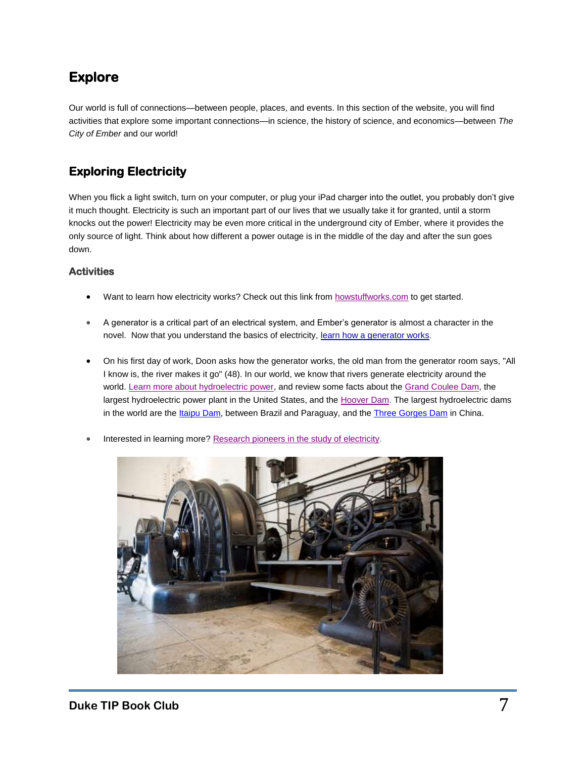## **Explore**

Our world is full of connections—between people, places, and events. In this section of the website, you will find activities that explore some important connections—in science, the history of science, and economics—between *The City of Ember* and our world!

## **Exploring Electricity**

When you flick a light switch, turn on your computer, or plug your iPad charger into the outlet, you probably don't give it much thought. Electricity is such an important part of our lives that we usually take it for granted, until a storm knocks out the power! Electricity may be even more critical in the underground city of Ember, where it provides the only source of light. Think about how different a power outage is in the middle of the day and after the sun goes down.

#### **Activities**

- Want to learn how electricity works? Check out this link from [howstuffworks.com](http://science.howstuffworks.com/electricity.htm) to get started.
- A generator is a critical part of an electrical system, and Ember's generator is almost a character in the novel. Now that you understand the basics of electricity, [learn how a generator works.](https://www.explainthatstuff.com/generators.html)
- On his first day of work, Doon asks how the generator works, the old man from the generator room says, "All I know is, the river makes it go" (48). In our world, we know that rivers generate electricity around the world. [Learn more about hydroelectric power,](https://www.tvakids.com/electricity/hydro.htm) and review some facts about the [Grand Coulee Dam,](http://www.kidscosmos.org/mars/kids/kids_canyons_gcd.php) the largest hydroelectric power plant in the United States, and the [Hoover Dam.](http://www.usbr.gov/lc/hooverdam/educate/kidfacts.html) The largest hydroelectric dams in the world are the [Itaipu Dam,](http://www.unmuseum.org/7wonders/megadam.htm) between Brazil and Paraguay, and th[e Three Gorges Dam](https://www.britannica.com/topic/Three-Gorges-Dam) in China.
- Interested in learning more? [Research pioneers in the study of electricity.](http://micro.magnet.fsu.edu/electromag/pioneers/)

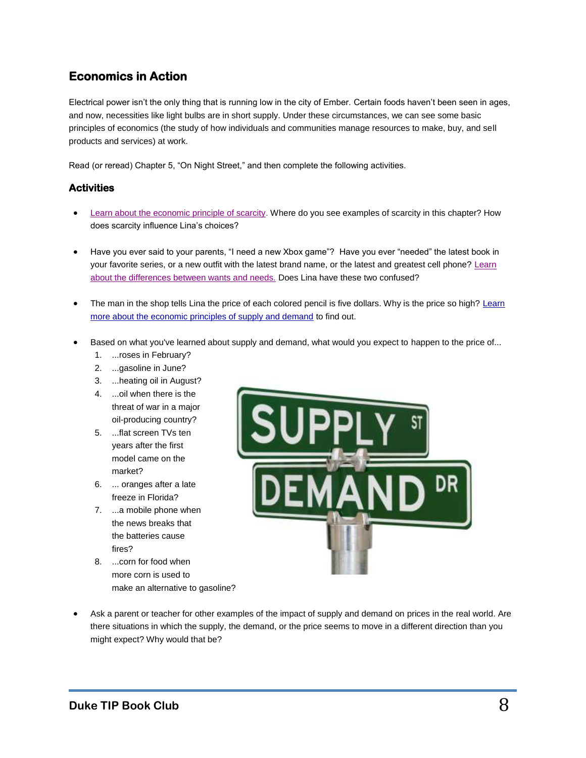## **Economics in Action**

Electrical power isn't the only thing that is running low in the city of Ember. Certain foods haven't been seen in ages, and now, necessities like light bulbs are in short supply. Under these circumstances, we can see some basic principles of economics (the study of how individuals and communities manage resources to make, buy, and sell products and services) at work.

Read (or reread) Chapter 5, "On Night Street," and then complete the following activities.

#### **Activities**

- [Learn about the economic principle of scarcity.](http://www.socialstudiesforkids.com/articles/economics/scarcityandchoices1.htm) Where do you see examples of scarcity in this chapter? How does scarcity influence Lina's choices?
- Have you ever said to your parents, "I need a new Xbox game"? Have you ever "needed" the latest book in your favorite series, or a new outfit with the latest brand name, or the latest and greatest cell phone? [Learn](http://www.socialstudiesforkids.com/articles/economics/wantsandneeds1.htm)  [about the differences between wants and needs.](http://www.socialstudiesforkids.com/articles/economics/wantsandneeds1.htm) Does Lina have these two confused?
- The man in the shop tells Lina the price of each colored pencil is five dollars. Why is the price so high? Learn [more about the economic principles of supply and demand](http://www.socialstudiesforkids.com/articles/economics/supplyanddemand1.htm) to find out.
- **Based on what you've learned about supply and demand, what would you expect to happen to the price of...** 
	- 1. ...roses in February?
	- 2. ...gasoline in June?
	- 3. ...heating oil in August?
	- 4. ...oil when there is the threat of war in a major oil-producing country?
	- 5. ...flat screen TVs ten years after the first model came on the market?
	- 6. ... oranges after a late freeze in Florida?
	- 7. ...a mobile phone when the news breaks that the batteries cause fires?
	- 8. ...corn for food when more corn is used to make an alternative to gasoline?



 Ask a parent or teacher for other examples of the impact of supply and demand on prices in the real world. Are there situations in which the supply, the demand, or the price seems to move in a different direction than you might expect? Why would that be?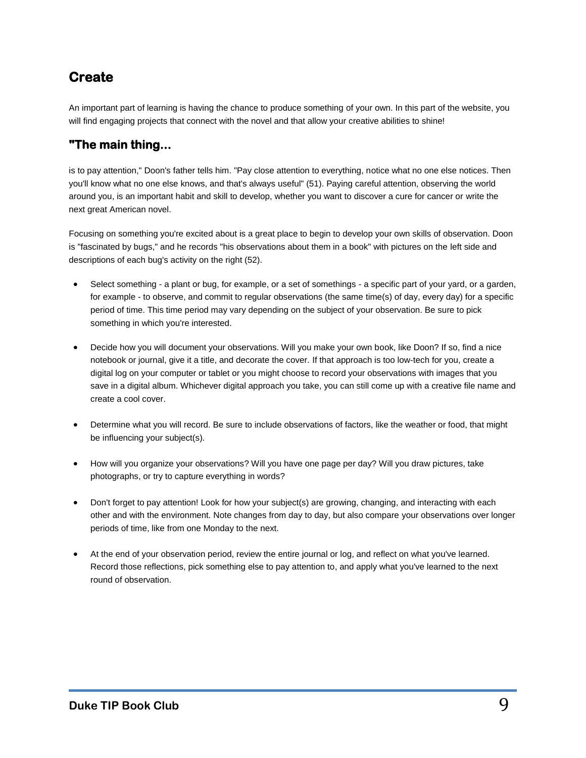## **Create**

An important part of learning is having the chance to produce something of your own. In this part of the website, you will find engaging projects that connect with the novel and that allow your creative abilities to shine!

## **"The main thing...**

is to pay attention," Doon's father tells him. "Pay close attention to everything, notice what no one else notices. Then you'll know what no one else knows, and that's always useful" (51). Paying careful attention, observing the world around you, is an important habit and skill to develop, whether you want to discover a cure for cancer or write the next great American novel.

Focusing on something you're excited about is a great place to begin to develop your own skills of observation. Doon is "fascinated by bugs," and he records "his observations about them in a book" with pictures on the left side and descriptions of each bug's activity on the right (52).

- Select something a plant or bug, for example, or a set of somethings a specific part of your yard, or a garden, for example - to observe, and commit to regular observations (the same time(s) of day, every day) for a specific period of time. This time period may vary depending on the subject of your observation. Be sure to pick something in which you're interested.
- Decide how you will document your observations. Will you make your own book, like Doon? If so, find a nice notebook or journal, give it a title, and decorate the cover. If that approach is too low-tech for you, create a digital log on your computer or tablet or you might choose to record your observations with images that you save in a digital album. Whichever digital approach you take, you can still come up with a creative file name and create a cool cover.
- Determine what you will record. Be sure to include observations of factors, like the weather or food, that might be influencing your subject(s).
- How will you organize your observations? Will you have one page per day? Will you draw pictures, take photographs, or try to capture everything in words?
- Don't forget to pay attention! Look for how your subject(s) are growing, changing, and interacting with each other and with the environment. Note changes from day to day, but also compare your observations over longer periods of time, like from one Monday to the next.
- At the end of your observation period, review the entire journal or log, and reflect on what you've learned. Record those reflections, pick something else to pay attention to, and apply what you've learned to the next round of observation.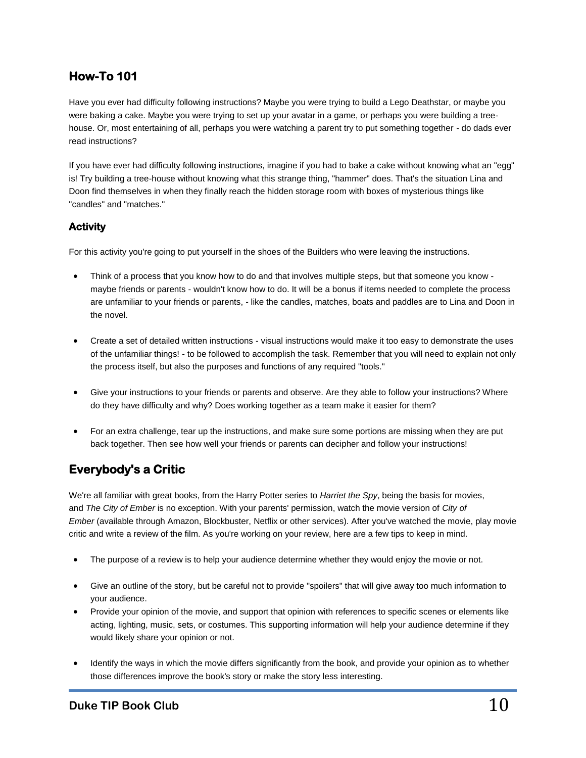## **How-To 101**

Have you ever had difficulty following instructions? Maybe you were trying to build a Lego Deathstar, or maybe you were baking a cake. Maybe you were trying to set up your avatar in a game, or perhaps you were building a treehouse. Or, most entertaining of all, perhaps you were watching a parent try to put something together - do dads ever read instructions?

If you have ever had difficulty following instructions, imagine if you had to bake a cake without knowing what an "egg" is! Try building a tree-house without knowing what this strange thing, "hammer" does. That's the situation Lina and Doon find themselves in when they finally reach the hidden storage room with boxes of mysterious things like "candles" and "matches."

### **Activity**

For this activity you're going to put yourself in the shoes of the Builders who were leaving the instructions.

- Think of a process that you know how to do and that involves multiple steps, but that someone you know maybe friends or parents - wouldn't know how to do. It will be a bonus if items needed to complete the process are unfamiliar to your friends or parents, - like the candles, matches, boats and paddles are to Lina and Doon in the novel.
- Create a set of detailed written instructions visual instructions would make it too easy to demonstrate the uses of the unfamiliar things! - to be followed to accomplish the task. Remember that you will need to explain not only the process itself, but also the purposes and functions of any required "tools."
- Give your instructions to your friends or parents and observe. Are they able to follow your instructions? Where do they have difficulty and why? Does working together as a team make it easier for them?
- For an extra challenge, tear up the instructions, and make sure some portions are missing when they are put back together. Then see how well your friends or parents can decipher and follow your instructions!

## **Everybody's a Critic**

We're all familiar with great books, from the Harry Potter series to *Harriet the Spy*, being the basis for movies, and *The City of Ember* is no exception. With your parents' permission, watch the movie version of *City of Ember* (available through Amazon, Blockbuster, Netflix or other services). After you've watched the movie, play movie critic and write a review of the film. As you're working on your review, here are a few tips to keep in mind.

- The purpose of a review is to help your audience determine whether they would enjoy the movie or not.
- Give an outline of the story, but be careful not to provide "spoilers" that will give away too much information to your audience.
- Provide your opinion of the movie, and support that opinion with references to specific scenes or elements like acting, lighting, music, sets, or costumes. This supporting information will help your audience determine if they would likely share your opinion or not.
- Identify the ways in which the movie differs significantly from the book, and provide your opinion as to whether those differences improve the book's story or make the story less interesting.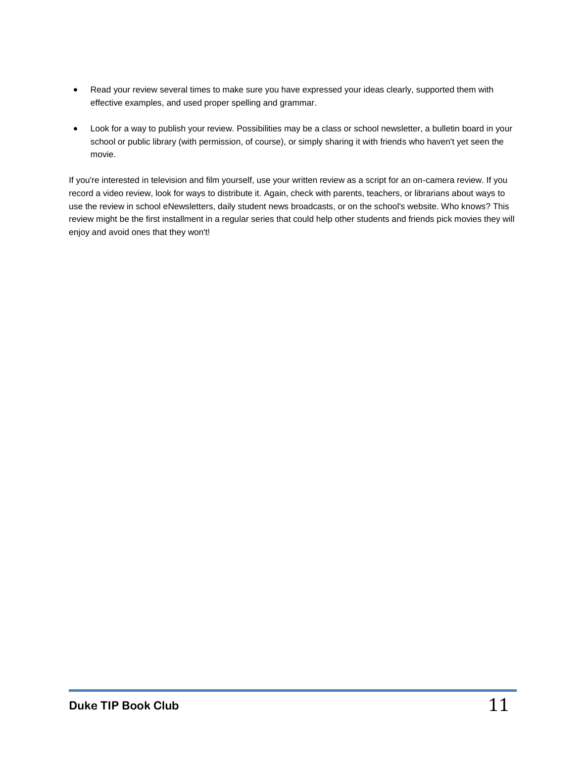- Read your review several times to make sure you have expressed your ideas clearly, supported them with effective examples, and used proper spelling and grammar.
- Look for a way to publish your review. Possibilities may be a class or school newsletter, a bulletin board in your school or public library (with permission, of course), or simply sharing it with friends who haven't yet seen the movie.

If you're interested in television and film yourself, use your written review as a script for an on-camera review. If you record a video review, look for ways to distribute it. Again, check with parents, teachers, or librarians about ways to use the review in school eNewsletters, daily student news broadcasts, or on the school's website. Who knows? This review might be the first installment in a regular series that could help other students and friends pick movies they will enjoy and avoid ones that they won't!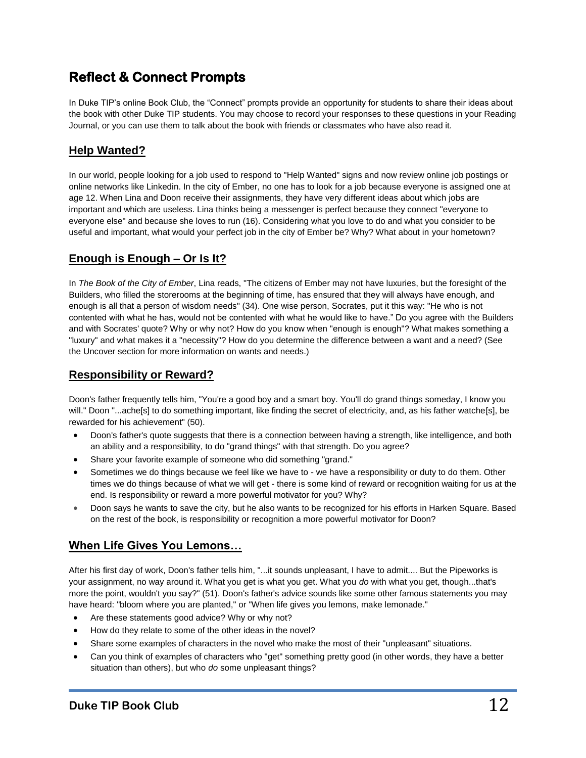## **Reflect & Connect Prompts**

In Duke TIP's online Book Club, the "Connect" prompts provide an opportunity for students to share their ideas about the book with other Duke TIP students. You may choose to record your responses to these questions in your Reading Journal, or you can use them to talk about the book with friends or classmates who have also read it.

## **Help Wanted?**

In our world, people looking for a job used to respond to "Help Wanted" signs and now review online job postings or online networks like Linkedin. In the city of Ember, no one has to look for a job because everyone is assigned one at age 12. When Lina and Doon receive their assignments, they have very different ideas about which jobs are important and which are useless. Lina thinks being a messenger is perfect because they connect "everyone to everyone else" and because she loves to run (16). Considering what you love to do and what you consider to be useful and important, what would your perfect job in the city of Ember be? Why? What about in your hometown?

## **Enough is Enough – Or Is It?**

In *The Book of the City of Ember*, Lina reads, "The citizens of Ember may not have luxuries, but the foresight of the Builders, who filled the storerooms at the beginning of time, has ensured that they will always have enough, and enough is all that a person of wisdom needs" (34). One wise person, Socrates, put it this way: "He who is not contented with what he has, would not be contented with what he would like to have." Do you agree with the Builders and with Socrates' quote? Why or why not? How do you know when "enough is enough"? What makes something a "luxury" and what makes it a "necessity"? How do you determine the difference between a want and a need? (See the Uncover section for more information on wants and needs.)

## **Responsibility or Reward?**

Doon's father frequently tells him, "You're a good boy and a smart boy. You'll do grand things someday, I know you will." Doon "...ache[s] to do something important, like finding the secret of electricity, and, as his father watche[s], be rewarded for his achievement" (50).

- Doon's father's quote suggests that there is a connection between having a strength, like intelligence, and both an ability and a responsibility, to do "grand things" with that strength. Do you agree?
- Share your favorite example of someone who did something "grand."
- Sometimes we do things because we feel like we have to we have a responsibility or duty to do them. Other times we do things because of what we will get - there is some kind of reward or recognition waiting for us at the end. Is responsibility or reward a more powerful motivator for you? Why?
- Doon says he wants to save the city, but he also wants to be recognized for his efforts in Harken Square. Based on the rest of the book, is responsibility or recognition a more powerful motivator for Doon?

## **When Life Gives You Lemons…**

After his first day of work, Doon's father tells him, "...it sounds unpleasant, I have to admit.... But the Pipeworks is your assignment, no way around it. What you get is what you get. What you *do* with what you get, though...that's more the point, wouldn't you say?" (51). Doon's father's advice sounds like some other famous statements you may have heard: "bloom where you are planted," or "When life gives you lemons, make lemonade."

- Are these statements good advice? Why or why not?
- How do they relate to some of the other ideas in the novel?
- Share some examples of characters in the novel who make the most of their "unpleasant" situations.
- Can you think of examples of characters who "get" something pretty good (in other words, they have a better situation than others), but who *do* some unpleasant things?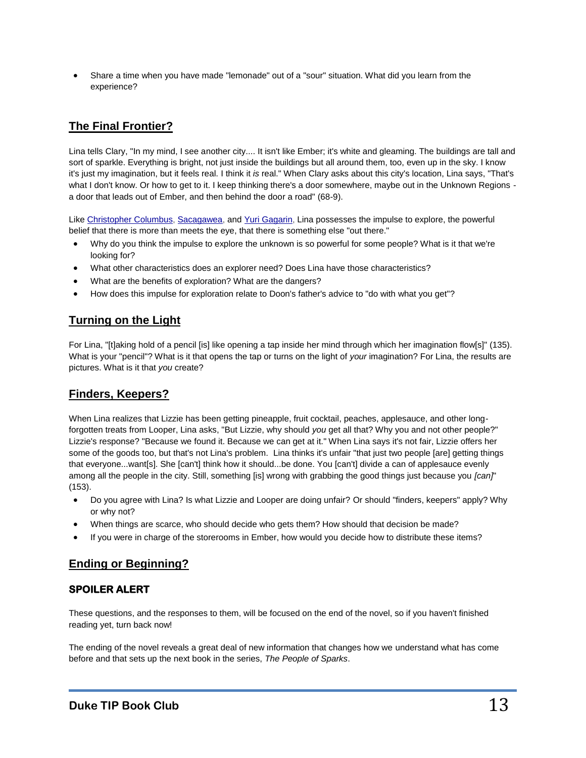Share a time when you have made "lemonade" out of a "sour" situation. What did you learn from the experience?

## **The Final Frontier?**

Lina tells Clary, "In my mind, I see another city.... It isn't like Ember; it's white and gleaming. The buildings are tall and sort of sparkle. Everything is bright, not just inside the buildings but all around them, too, even up in the sky. I know it's just my imagination, but it feels real. I think it *is* real." When Clary asks about this city's location, Lina says, "That's what I don't know. Or how to get to it. I keep thinking there's a door somewhere, maybe out in the Unknown Regions a door that leads out of Ember, and then behind the door a road" (68-9).

Like [Christopher](http://www.socialstudiesforkids.com/subjects/columbus.htm) Columbus, [Sacagawea,](http://www.kidsdiscover.com/sacagawea-for-kids) and [Yuri Gagarin,](http://starchild.gsfc.nasa.gov/docs/StarChild/whos_who_level2/gagarin.html) Lina possesses the impulse to explore, the powerful belief that there is more than meets the eye, that there is something else "out there."

- Why do you think the impulse to explore the unknown is so powerful for some people? What is it that we're looking for?
- What other characteristics does an explorer need? Does Lina have those characteristics?
- What are the benefits of exploration? What are the dangers?
- How does this impulse for exploration relate to Doon's father's advice to "do with what you get"?

### **Turning on the Light**

For Lina, "[t]aking hold of a pencil [is] like opening a tap inside her mind through which her imagination flow[s]" (135). What is your "pencil"? What is it that opens the tap or turns on the light of *your* imagination? For Lina, the results are pictures. What is it that *you* create?

## **Finders, Keepers?**

When Lina realizes that Lizzie has been getting pineapple, fruit cocktail, peaches, applesauce, and other longforgotten treats from Looper, Lina asks, "But Lizzie, why should *you* get all that? Why you and not other people?" Lizzie's response? "Because we found it. Because we can get at it." When Lina says it's not fair, Lizzie offers her some of the goods too, but that's not Lina's problem. Lina thinks it's unfair "that just two people [are] getting things that everyone...want[s]. She [can't] think how it should...be done. You [can't] divide a can of applesauce evenly among all the people in the city. Still, something [is] wrong with grabbing the good things just because you *[can]*" (153).

- Do you agree with Lina? Is what Lizzie and Looper are doing unfair? Or should "finders, keepers" apply? Why or why not?
- When things are scarce, who should decide who gets them? How should that decision be made?
- If you were in charge of the storerooms in Ember, how would you decide how to distribute these items?

## **Ending or Beginning?**

### **SPOILER ALERT**

These questions, and the responses to them, will be focused on the end of the novel, so if you haven't finished reading yet, turn back now!

The ending of the novel reveals a great deal of new information that changes how we understand what has come before and that sets up the next book in the series, *The People of Sparks*.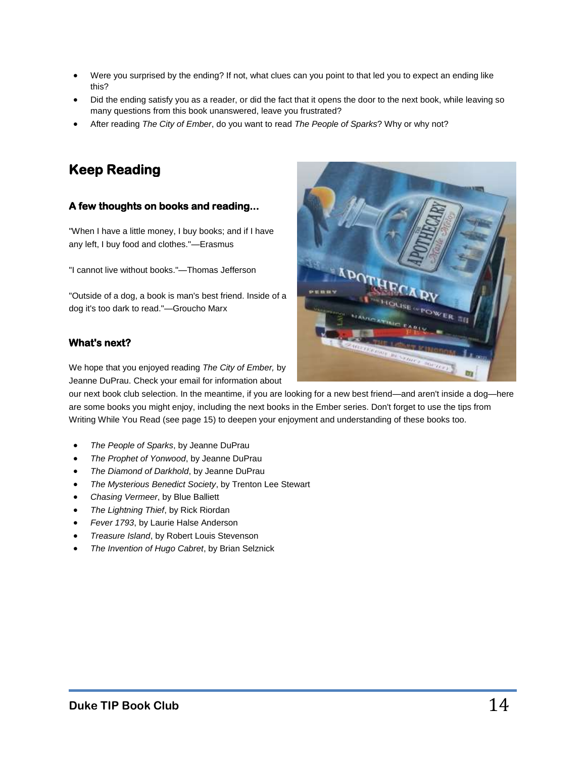- Were you surprised by the ending? If not, what clues can you point to that led you to expect an ending like this?
- Did the ending satisfy you as a reader, or did the fact that it opens the door to the next book, while leaving so many questions from this book unanswered, leave you frustrated?
- After reading *The City of Ember*, do you want to read *The People of Sparks*? Why or why not?

## **Keep Reading**

### **A few thoughts on books and reading...**

"When I have a little money, I buy books; and if I have any left, I buy food and clothes."*—*Erasmus

"I cannot live without books."*—*Thomas Jefferson

"Outside of a dog, a book is man's best friend. Inside of a dog it's too dark to read."*—*Groucho Marx

#### **What's next?**

We hope that you enjoyed reading *The City of Ember,* by Jeanne DuPrau. Check your email for information about

our next book club selection. In the meantime, if you are looking for a new best friend—and aren't inside a dog—here are some books you might enjoy, including the next books in the Ember series. Don't forget to use the tips from Writing While You Read (see page 15) to deepen your enjoyment and understanding of these books too.

- *The People of Sparks*, by Jeanne DuPrau
- *The Prophet of Yonwood*, by Jeanne DuPrau
- *The Diamond of Darkhold*, by Jeanne DuPrau
- *The Mysterious Benedict Society*, by Trenton Lee Stewart
- *Chasing Vermeer*, by Blue Balliett
- *The Lightning Thief*, by Rick Riordan
- *Fever 1793*, by Laurie Halse Anderson
- *Treasure Island*, by Robert Louis Stevenson
- *The Invention of Hugo Cabret*, by Brian Selznick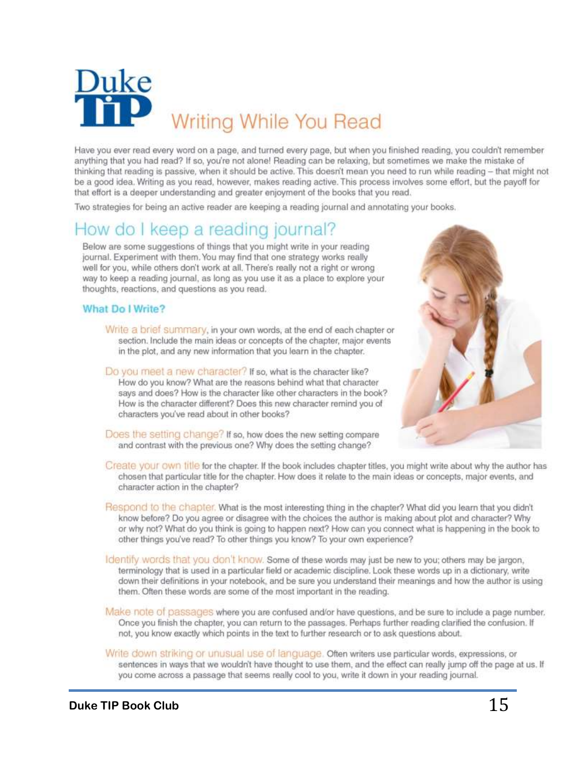

Have you ever read every word on a page, and turned every page, but when you finished reading, you couldn't remember anything that you had read? If so, you're not alone! Reading can be relaxing, but sometimes we make the mistake of thinking that reading is passive, when it should be active. This doesn't mean you need to run while reading - that might not be a good idea. Writing as you read, however, makes reading active. This process involves some effort, but the payoff for that effort is a deeper understanding and greater enjoyment of the books that you read.

Two strategies for being an active reader are keeping a reading journal and annotating your books.

## How do I keep a reading journal?

Below are some suggestions of things that you might write in your reading journal. Experiment with them. You may find that one strategy works really well for you, while others don't work at all. There's really not a right or wrong way to keep a reading journal, as long as you use it as a place to explore your thoughts, reactions, and questions as you read.

#### What Do I Write?

- Write a brief summary, in your own words, at the end of each chapter or section. Include the main ideas or concepts of the chapter, major events in the plot, and any new information that you learn in the chapter.
- Do you meet a new character? If so, what is the character like? How do you know? What are the reasons behind what that character says and does? How is the character like other characters in the book? How is the character different? Does this new character remind you of characters you've read about in other books?



- Does the setting change? If so, how does the new setting compare and contrast with the previous one? Why does the setting change?
- Create your own title for the chapter. If the book includes chapter titles, you might write about why the author has chosen that particular title for the chapter. How does it relate to the main ideas or concepts, major events, and character action in the chapter?
- Respond to the chapter. What is the most interesting thing in the chapter? What did you learn that you didn't know before? Do you agree or disagree with the choices the author is making about plot and character? Why or why not? What do you think is going to happen next? How can you connect what is happening in the book to other things you've read? To other things you know? To your own experience?
- Identify words that you don't know. Some of these words may just be new to you; others may be jargon, terminology that is used in a particular field or academic discipline. Look these words up in a dictionary, write down their definitions in your notebook, and be sure you understand their meanings and how the author is using them. Often these words are some of the most important in the reading.
- Make note of passages where you are confused and/or have questions, and be sure to include a page number. Once you finish the chapter, you can return to the passages. Perhaps further reading clarified the confusion. If not, you know exactly which points in the text to further research or to ask questions about.
- Write down striking or unusual use of language. Often writers use particular words, expressions, or sentences in ways that we wouldn't have thought to use them, and the effect can really jump off the page at us. If you come across a passage that seems really cool to you, write it down in your reading journal.